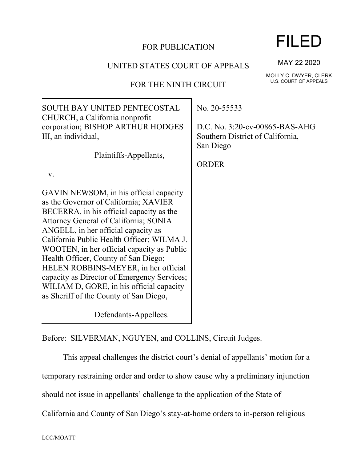### FOR PUBLICATION

### UNITED STATES COURT OF APPEALS

## FOR THE NINTH CIRCUIT

SOUTH BAY UNITED PENTECOSTAL CHURCH, a California nonprofit corporation; BISHOP ARTHUR HODGES III, an individual, Plaintiffs-Appellants, v. GAVIN NEWSOM, in his official capacity as the Governor of California; XAVIER BECERRA, in his official capacity as the Attorney General of California; SONIA ANGELL, in her official capacity as California Public Health Officer; WILMA J. WOOTEN, in her official capacity as Public Health Officer, County of San Diego; HELEN ROBBINS-MEYER, in her official capacity as Director of Emergency Services; WILIAM D, GORE, in his official capacity as Sheriff of the County of San Diego, Defendants-Appellees. No. 20-55533 D.C. No. 3:20-cv-00865-BAS-AHG Southern District of California, San Diego ORDER

Before: SILVERMAN, NGUYEN, and COLLINS, Circuit Judges.

This appeal challenges the district court's denial of appellants' motion for a temporary restraining order and order to show cause why a preliminary injunction

should not issue in appellants' challenge to the application of the State of

California and County of San Diego's stay-at-home orders to in-person religious

MAY 22 2020

MOLLY C. DWYER, CLERK U.S. COURT OF APPEALS

## FILED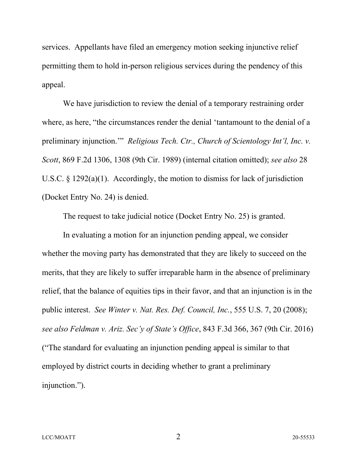services. Appellants have filed an emergency motion seeking injunctive relief permitting them to hold in-person religious services during the pendency of this appeal.

We have jurisdiction to review the denial of a temporary restraining order where, as here, "the circumstances render the denial 'tantamount to the denial of a preliminary injunction.'" *Religious Tech. Ctr., Church of Scientology Int'l, Inc. v. Scott*, 869 F.2d 1306, 1308 (9th Cir. 1989) (internal citation omitted); *see also* 28 U.S.C. § 1292(a)(1). Accordingly, the motion to dismiss for lack of jurisdiction (Docket Entry No. 24) is denied.

The request to take judicial notice (Docket Entry No. 25) is granted.

In evaluating a motion for an injunction pending appeal, we consider whether the moving party has demonstrated that they are likely to succeed on the merits, that they are likely to suffer irreparable harm in the absence of preliminary relief, that the balance of equities tips in their favor, and that an injunction is in the public interest. *See Winter v. Nat. Res. Def. Council, Inc.*, 555 U.S. 7, 20 (2008); *see also Feldman v. Ariz. Sec'y of State's Office*, 843 F.3d 366, 367 (9th Cir. 2016) ("The standard for evaluating an injunction pending appeal is similar to that employed by district courts in deciding whether to grant a preliminary injunction.").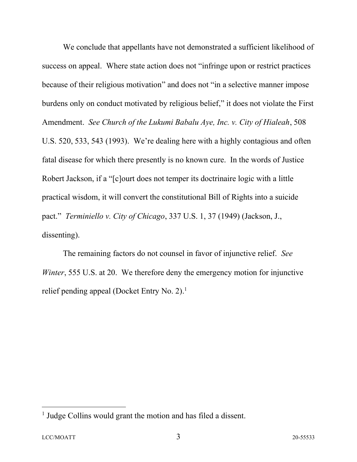We conclude that appellants have not demonstrated a sufficient likelihood of success on appeal. Where state action does not "infringe upon or restrict practices because of their religious motivation" and does not "in a selective manner impose burdens only on conduct motivated by religious belief," it does not violate the First Amendment. *See Church of the Lukumi Babalu Aye, Inc. v. City of Hialeah*, 508 U.S. 520, 533, 543 (1993). We're dealing here with a highly contagious and often fatal disease for which there presently is no known cure. In the words of Justice Robert Jackson, if a "[c]ourt does not temper its doctrinaire logic with a little practical wisdom, it will convert the constitutional Bill of Rights into a suicide pact." *Terminiello v. City of Chicago*, 337 U.S. 1, 37 (1949) (Jackson, J., dissenting).

The remaining factors do not counsel in favor of injunctive relief. *See Winter*, 555 U.S. at 20. We therefore deny the emergency motion for injunctive relief pending appeal (Docket Entry No. 2).<sup>1</sup>

<sup>&</sup>lt;sup>1</sup> Judge Collins would grant the motion and has filed a dissent.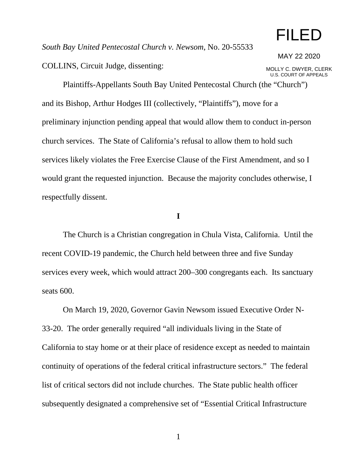# FILED

*South Bay United Pentecostal Church v. Newsom*, No. 20-55533

COLLINS, Circuit Judge, dissenting:

MAY 22 2020

MOLLY C. DWYER, CLERK U.S. COURT OF APPEALS

Plaintiffs-Appellants South Bay United Pentecostal Church (the "Church") and its Bishop, Arthur Hodges III (collectively, "Plaintiffs"), move for a preliminary injunction pending appeal that would allow them to conduct in-person church services. The State of California's refusal to allow them to hold such services likely violates the Free Exercise Clause of the First Amendment, and so I would grant the requested injunction. Because the majority concludes otherwise, I respectfully dissent.

**I**

The Church is a Christian congregation in Chula Vista, California. Until the recent COVID-19 pandemic, the Church held between three and five Sunday services every week, which would attract 200–300 congregants each. Its sanctuary seats 600.

On March 19, 2020, Governor Gavin Newsom issued Executive Order N-33-20. The order generally required "all individuals living in the State of California to stay home or at their place of residence except as needed to maintain continuity of operations of the federal critical infrastructure sectors." The federal list of critical sectors did not include churches. The State public health officer subsequently designated a comprehensive set of "Essential Critical Infrastructure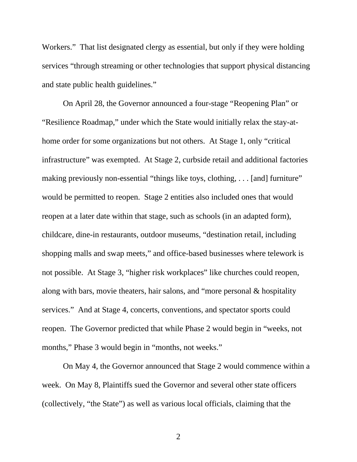Workers." That list designated clergy as essential, but only if they were holding services "through streaming or other technologies that support physical distancing and state public health guidelines."

On April 28, the Governor announced a four-stage "Reopening Plan" or "Resilience Roadmap," under which the State would initially relax the stay-athome order for some organizations but not others. At Stage 1, only "critical infrastructure" was exempted. At Stage 2, curbside retail and additional factories making previously non-essential "things like toys, clothing, ... [and] furniture" would be permitted to reopen. Stage 2 entities also included ones that would reopen at a later date within that stage, such as schools (in an adapted form), childcare, dine-in restaurants, outdoor museums, "destination retail, including shopping malls and swap meets," and office-based businesses where telework is not possible. At Stage 3, "higher risk workplaces" like churches could reopen, along with bars, movie theaters, hair salons, and "more personal & hospitality services." And at Stage 4, concerts, conventions, and spectator sports could reopen. The Governor predicted that while Phase 2 would begin in "weeks, not months," Phase 3 would begin in "months, not weeks."

On May 4, the Governor announced that Stage 2 would commence within a week. On May 8, Plaintiffs sued the Governor and several other state officers (collectively, "the State") as well as various local officials, claiming that the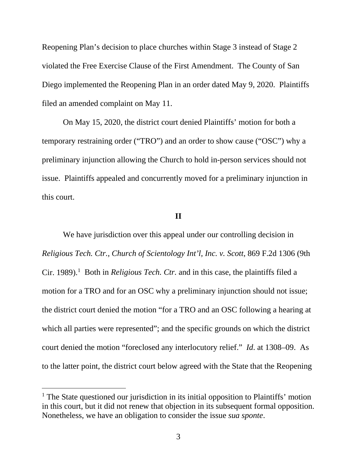Reopening Plan's decision to place churches within Stage 3 instead of Stage 2 violated the Free Exercise Clause of the First Amendment. The County of San Diego implemented the Reopening Plan in an order dated May 9, 2020. Plaintiffs filed an amended complaint on May 11.

On May 15, 2020, the district court denied Plaintiffs' motion for both a temporary restraining order ("TRO") and an order to show cause ("OSC") why a preliminary injunction allowing the Church to hold in-person services should not issue. Plaintiffs appealed and concurrently moved for a preliminary injunction in this court.

#### **II**

We have jurisdiction over this appeal under our controlling decision in *Religious Tech. Ctr., Church of Scientology Int'l, Inc. v. Scott*, 869 F.2d 1306 (9th Cir. [1](#page-5-0)989).<sup>1</sup> Both in *Religious Tech. Ctr.* and in this case, the plaintiffs filed a motion for a TRO and for an OSC why a preliminary injunction should not issue; the district court denied the motion "for a TRO and an OSC following a hearing at which all parties were represented"; and the specific grounds on which the district court denied the motion "foreclosed any interlocutory relief." *Id*. at 1308–09. As to the latter point, the district court below agreed with the State that the Reopening

<span id="page-5-0"></span><sup>&</sup>lt;sup>1</sup> The State questioned our jurisdiction in its initial opposition to Plaintiffs' motion in this court, but it did not renew that objection in its subsequent formal opposition. Nonetheless, we have an obligation to consider the issue *sua sponte*.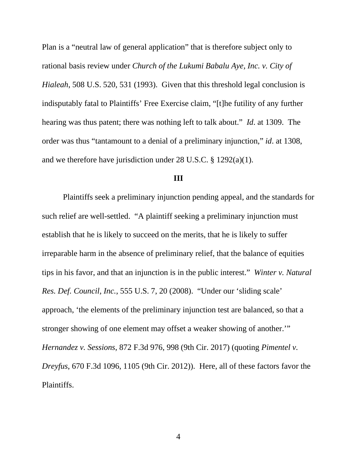Plan is a "neutral law of general application" that is therefore subject only to rational basis review under *Church of the Lukumi Babalu Aye, Inc. v. City of Hialeah*, 508 U.S. 520, 531 (1993). Given that this threshold legal conclusion is indisputably fatal to Plaintiffs' Free Exercise claim, "[t]he futility of any further hearing was thus patent; there was nothing left to talk about." *Id*. at 1309. The order was thus "tantamount to a denial of a preliminary injunction," *id*. at 1308, and we therefore have jurisdiction under 28 U.S.C. § 1292(a)(1).

#### **III**

Plaintiffs seek a preliminary injunction pending appeal, and the standards for such relief are well-settled. "A plaintiff seeking a preliminary injunction must establish that he is likely to succeed on the merits, that he is likely to suffer irreparable harm in the absence of preliminary relief, that the balance of equities tips in his favor, and that an injunction is in the public interest." *Winter v. Natural Res. Def. Council, Inc.*, 555 U.S. 7, 20 (2008). "Under our 'sliding scale' approach, 'the elements of the preliminary injunction test are balanced, so that a stronger showing of one element may offset a weaker showing of another.'" *Hernandez v. Sessions*, 872 F.3d 976, 998 (9th Cir. 2017) (quoting *Pimentel v. Dreyfus*, 670 F.3d 1096, 1105 (9th Cir. 2012)). Here, all of these factors favor the Plaintiffs.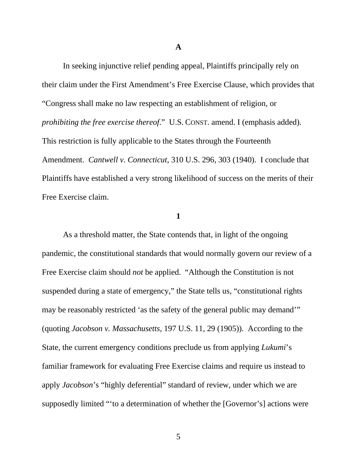**A**

In seeking injunctive relief pending appeal, Plaintiffs principally rely on their claim under the First Amendment's Free Exercise Clause, which provides that "Congress shall make no law respecting an establishment of religion, or *prohibiting the free exercise thereof*." U.S. CONST. amend. I (emphasis added). This restriction is fully applicable to the States through the Fourteenth Amendment. *Cantwell v. Connecticut*, 310 U.S. 296, 303 (1940). I conclude that Plaintiffs have established a very strong likelihood of success on the merits of their Free Exercise claim.

#### **1**

As a threshold matter, the State contends that, in light of the ongoing pandemic, the constitutional standards that would normally govern our review of a Free Exercise claim should *not* be applied. "Although the Constitution is not suspended during a state of emergency," the State tells us, "constitutional rights may be reasonably restricted 'as the safety of the general public may demand'" (quoting *Jacobson v. Massachusetts*, 197 U.S. 11, 29 (1905)). According to the State, the current emergency conditions preclude us from applying *Lukumi*'s familiar framework for evaluating Free Exercise claims and require us instead to apply *Jacobson*'s "highly deferential" standard of review, under which we are supposedly limited "'to a determination of whether the [Governor's] actions were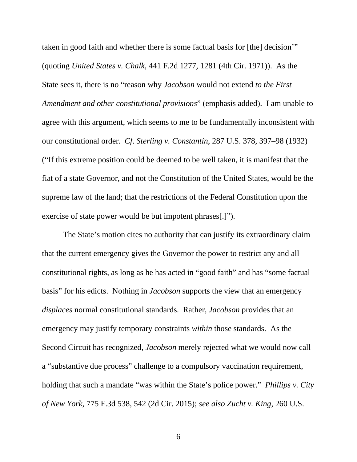taken in good faith and whether there is some factual basis for [the] decision'" (quoting *United States v. Chalk*, 441 F.2d 1277, 1281 (4th Cir. 1971)). As the State sees it, there is no "reason why *Jacobson* would not extend *to the First Amendment and other constitutional provisions*" (emphasis added). I am unable to agree with this argument, which seems to me to be fundamentally inconsistent with our constitutional order. *Cf*. *Sterling v. Constantin*, 287 U.S. 378, 397–98 (1932) ("If this extreme position could be deemed to be well taken, it is manifest that the fiat of a state Governor, and not the Constitution of the United States, would be the supreme law of the land; that the restrictions of the Federal Constitution upon the exercise of state power would be but impotent phrases[.]").

The State's motion cites no authority that can justify its extraordinary claim that the current emergency gives the Governor the power to restrict any and all constitutional rights, as long as he has acted in "good faith" and has "some factual basis" for his edicts. Nothing in *Jacobson* supports the view that an emergency *displaces* normal constitutional standards. Rather, *Jacobson* provides that an emergency may justify temporary constraints *within* those standards. As the Second Circuit has recognized, *Jacobson* merely rejected what we would now call a "substantive due process" challenge to a compulsory vaccination requirement, holding that such a mandate "was within the State's police power." *Phillips v. City of New York*, 775 F.3d 538, 542 (2d Cir. 2015); *see also Zucht v. King*, 260 U.S.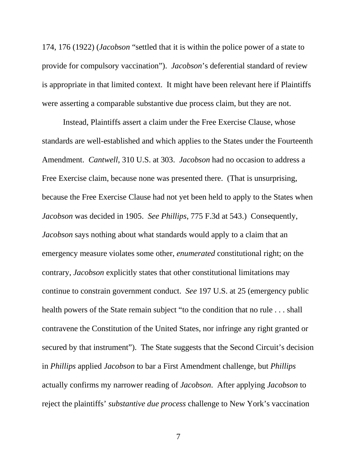174, 176 (1922) (*Jacobson* "settled that it is within the police power of a state to provide for compulsory vaccination"). *Jacobson*'s deferential standard of review is appropriate in that limited context. It might have been relevant here if Plaintiffs were asserting a comparable substantive due process claim, but they are not.

Instead, Plaintiffs assert a claim under the Free Exercise Clause, whose standards are well-established and which applies to the States under the Fourteenth Amendment. *Cantwell*, 310 U.S. at 303. *Jacobson* had no occasion to address a Free Exercise claim, because none was presented there. (That is unsurprising, because the Free Exercise Clause had not yet been held to apply to the States when *Jacobson* was decided in 1905. *See Phillips*, 775 F.3d at 543.) Consequently, *Jacobson* says nothing about what standards would apply to a claim that an emergency measure violates some other, *enumerated* constitutional right; on the contrary, *Jacobson* explicitly states that other constitutional limitations may continue to constrain government conduct. *See* 197 U.S. at 25 (emergency public health powers of the State remain subject "to the condition that no rule . . . shall contravene the Constitution of the United States, nor infringe any right granted or secured by that instrument"). The State suggests that the Second Circuit's decision in *Phillips* applied *Jacobson* to bar a First Amendment challenge, but *Phillips* actually confirms my narrower reading of *Jacobson*. After applying *Jacobson* to reject the plaintiffs' *substantive due process* challenge to New York's vaccination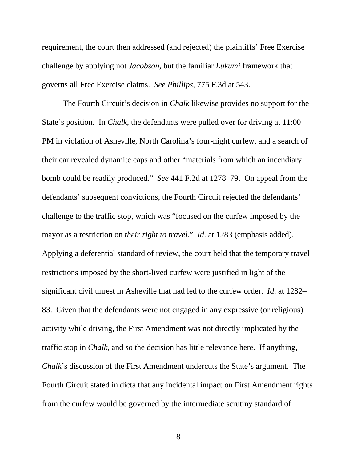requirement, the court then addressed (and rejected) the plaintiffs' Free Exercise challenge by applying not *Jacobson*, but the familiar *Lukumi* framework that governs all Free Exercise claims. *See Phillips*, 775 F.3d at 543.

The Fourth Circuit's decision in *Chalk* likewise provides no support for the State's position. In *Chalk*, the defendants were pulled over for driving at 11:00 PM in violation of Asheville, North Carolina's four-night curfew, and a search of their car revealed dynamite caps and other "materials from which an incendiary bomb could be readily produced." *See* 441 F.2d at 1278–79. On appeal from the defendants' subsequent convictions, the Fourth Circuit rejected the defendants' challenge to the traffic stop, which was "focused on the curfew imposed by the mayor as a restriction on *their right to travel*." *Id*. at 1283 (emphasis added). Applying a deferential standard of review, the court held that the temporary travel restrictions imposed by the short-lived curfew were justified in light of the significant civil unrest in Asheville that had led to the curfew order. *Id*. at 1282– 83. Given that the defendants were not engaged in any expressive (or religious) activity while driving, the First Amendment was not directly implicated by the traffic stop in *Chalk*, and so the decision has little relevance here. If anything, *Chalk*'s discussion of the First Amendment undercuts the State's argument. The Fourth Circuit stated in dicta that any incidental impact on First Amendment rights from the curfew would be governed by the intermediate scrutiny standard of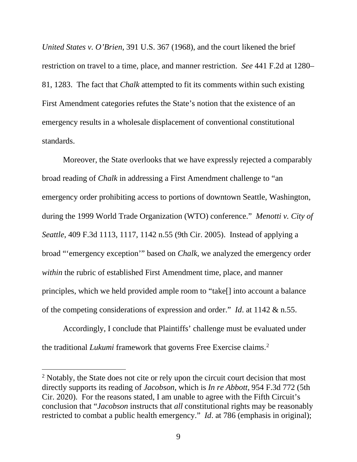*United States v. O'Brien*, 391 U.S. 367 (1968), and the court likened the brief restriction on travel to a time, place, and manner restriction. *See* 441 F.2d at 1280– 81, 1283. The fact that *Chalk* attempted to fit its comments within such existing First Amendment categories refutes the State's notion that the existence of an emergency results in a wholesale displacement of conventional constitutional standards.

Moreover, the State overlooks that we have expressly rejected a comparably broad reading of *Chalk* in addressing a First Amendment challenge to "an emergency order prohibiting access to portions of downtown Seattle, Washington, during the 1999 World Trade Organization (WTO) conference." *Menotti v. City of Seattle*, 409 F.3d 1113, 1117, 1142 n.55 (9th Cir. 2005). Instead of applying a broad "'emergency exception'" based on *Chalk*, we analyzed the emergency order *within* the rubric of established First Amendment time, place, and manner principles, which we held provided ample room to "take[] into account a balance of the competing considerations of expression and order." *Id*. at 1142 & n.55.

Accordingly, I conclude that Plaintiffs' challenge must be evaluated under the traditional *Lukumi* framework that governs Free Exercise claims.<sup>[2](#page-11-0)</sup>

<span id="page-11-0"></span><sup>&</sup>lt;sup>2</sup> Notably, the State does not cite or rely upon the circuit court decision that most directly supports its reading of *Jacobson*, which is *In re Abbott*, 954 F.3d 772 (5th Cir. 2020). For the reasons stated, I am unable to agree with the Fifth Circuit's conclusion that "*Jacobson* instructs that *all* constitutional rights may be reasonably restricted to combat a public health emergency." *Id*. at 786 (emphasis in original);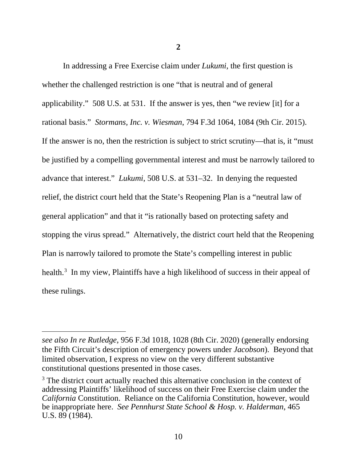In addressing a Free Exercise claim under *Lukumi*, the first question is whether the challenged restriction is one "that is neutral and of general applicability." 508 U.S. at 531. If the answer is yes, then "we review [it] for a rational basis." *Stormans, Inc. v. Wiesman*, 794 F.3d 1064, 1084 (9th Cir. 2015). If the answer is no, then the restriction is subject to strict scrutiny—that is, it "must be justified by a compelling governmental interest and must be narrowly tailored to advance that interest." *Lukumi*, 508 U.S. at 531–32. In denying the requested relief, the district court held that the State's Reopening Plan is a "neutral law of general application" and that it "is rationally based on protecting safety and stopping the virus spread." Alternatively, the district court held that the Reopening Plan is narrowly tailored to promote the State's compelling interest in public health.<sup>[3](#page-12-0)</sup> In my view, Plaintiffs have a high likelihood of success in their appeal of these rulings.

*see also In re Rutledge*, 956 F.3d 1018, 1028 (8th Cir. 2020) (generally endorsing the Fifth Circuit's description of emergency powers under *Jacobson*). Beyond that limited observation, I express no view on the very different substantive constitutional questions presented in those cases.

<span id="page-12-0"></span><sup>&</sup>lt;sup>3</sup> The district court actually reached this alternative conclusion in the context of addressing Plaintiffs' likelihood of success on their Free Exercise claim under the *California* Constitution. Reliance on the California Constitution, however, would be inappropriate here. *See Pennhurst State School & Hosp. v. Halderman*, 465 U.S. 89 (1984).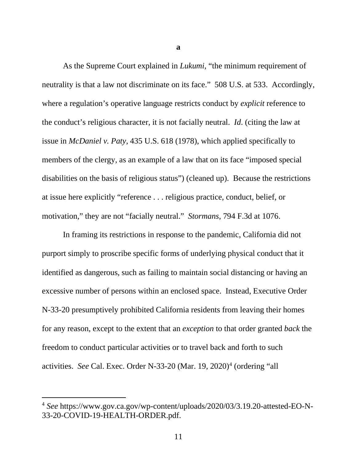As the Supreme Court explained in *Lukumi*, "the minimum requirement of neutrality is that a law not discriminate on its face." 508 U.S. at 533. Accordingly, where a regulation's operative language restricts conduct by *explicit* reference to the conduct's religious character, it is not facially neutral. *Id*. (citing the law at issue in *McDaniel v. Paty*, 435 U.S. 618 (1978), which applied specifically to members of the clergy, as an example of a law that on its face "imposed special disabilities on the basis of religious status") (cleaned up). Because the restrictions at issue here explicitly "reference . . . religious practice, conduct, belief, or motivation," they are not "facially neutral." *Stormans*, 794 F.3d at 1076.

In framing its restrictions in response to the pandemic, California did not purport simply to proscribe specific forms of underlying physical conduct that it identified as dangerous, such as failing to maintain social distancing or having an excessive number of persons within an enclosed space. Instead, Executive Order N-33-20 presumptively prohibited California residents from leaving their homes for any reason, except to the extent that an *exception* to that order granted *back* the freedom to conduct particular activities or to travel back and forth to such activities. *See* Cal. Exec. Order N-33-20 (Mar. 19, 2020)<sup>[4](#page-13-0)</sup> (ordering "all

**a**

<span id="page-13-0"></span><sup>4</sup> *See* https://www.gov.ca.gov/wp-content/uploads/2020/03/3.19.20-attested-EO-N-33-20-COVID-19-HEALTH-ORDER.pdf.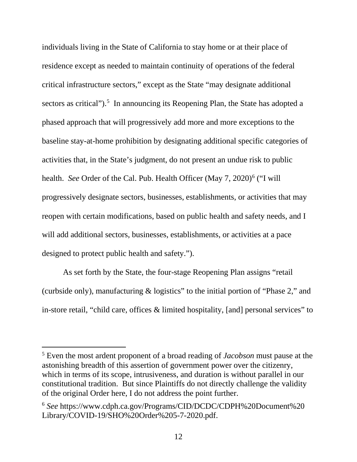individuals living in the State of California to stay home or at their place of residence except as needed to maintain continuity of operations of the federal critical infrastructure sectors," except as the State "may designate additional sectors as critical").<sup>[5](#page-14-0)</sup> In announcing its Reopening Plan, the State has adopted a phased approach that will progressively add more and more exceptions to the baseline stay-at-home prohibition by designating additional specific categories of activities that, in the State's judgment, do not present an undue risk to public health. *See* Order of the Cal. Pub. Health Officer (May 7, 2020)<sup>[6](#page-14-1)</sup> ("I will progressively designate sectors, businesses, establishments, or activities that may reopen with certain modifications, based on public health and safety needs, and I will add additional sectors, businesses, establishments, or activities at a pace designed to protect public health and safety.").

As set forth by the State, the four-stage Reopening Plan assigns "retail (curbside only), manufacturing & logistics" to the initial portion of "Phase 2," and in-store retail, "child care, offices & limited hospitality, [and] personal services" to

<span id="page-14-0"></span><sup>5</sup> Even the most ardent proponent of a broad reading of *Jacobson* must pause at the astonishing breadth of this assertion of government power over the citizenry, which in terms of its scope, intrusiveness, and duration is without parallel in our constitutional tradition. But since Plaintiffs do not directly challenge the validity of the original Order here, I do not address the point further.

<span id="page-14-1"></span><sup>6</sup> *See* https://www.cdph.ca.gov/Programs/CID/DCDC/CDPH%20Document%20 Library/COVID-19/SHO%20Order%205-7-2020.pdf.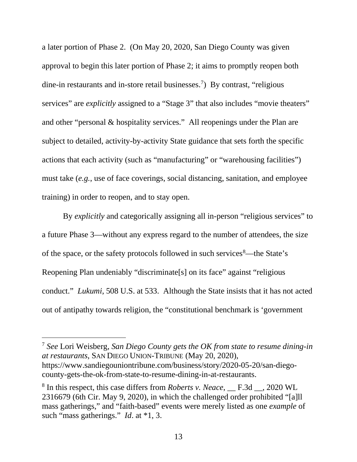a later portion of Phase 2. (On May 20, 2020, San Diego County was given approval to begin this later portion of Phase 2; it aims to promptly reopen both dine-in restaurants and in-store retail businesses.<sup>[7](#page-15-0)</sup>) By contrast, "religious services" are *explicitly* assigned to a "Stage 3" that also includes "movie theaters" and other "personal & hospitality services." All reopenings under the Plan are subject to detailed, activity-by-activity State guidance that sets forth the specific actions that each activity (such as "manufacturing" or "warehousing facilities") must take (*e.g.*, use of face coverings, social distancing, sanitation, and employee training) in order to reopen, and to stay open.

By *explicitly* and categorically assigning all in-person "religious services" to a future Phase 3—without any express regard to the number of attendees, the size of the space, or the safety protocols followed in such services<sup>[8](#page-15-1)</sup>—the State's Reopening Plan undeniably "discriminate[s] on its face" against "religious conduct." *Lukumi*, 508 U.S. at 533. Although the State insists that it has not acted out of antipathy towards religion, the "constitutional benchmark is 'government

<span id="page-15-0"></span><sup>7</sup> *See* Lori Weisberg, *San Diego County gets the OK from state to resume dining-in at restaurants*, SAN DIEGO UNION-TRIBUNE (May 20, 2020), https://www.sandiegouniontribune.com/business/story/2020-05-20/san-diegocounty-gets-the-ok-from-state-to-resume-dining-in-at-restaurants.

<span id="page-15-1"></span><sup>8</sup> In this respect, this case differs from *Roberts v. Neace*, \_\_ F.3d \_\_, 2020 WL 2316679 (6th Cir. May 9, 2020), in which the challenged order prohibited "[a]ll mass gatherings," and "faith-based" events were merely listed as one *example* of such "mass gatherings." *Id*. at \*1, 3.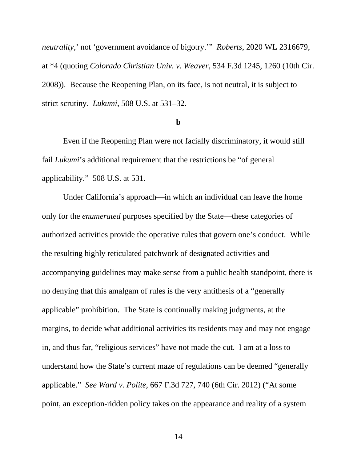*neutrality*,' not 'government avoidance of bigotry.'" *Roberts*, 2020 WL 2316679, at \*4 (quoting *Colorado Christian Univ. v. Weaver*, 534 F.3d 1245, 1260 (10th Cir. 2008)). Because the Reopening Plan, on its face, is not neutral, it is subject to strict scrutiny. *Lukumi*, 508 U.S. at 531–32.

#### **b**

Even if the Reopening Plan were not facially discriminatory, it would still fail *Lukumi*'s additional requirement that the restrictions be "of general applicability." 508 U.S. at 531.

Under California's approach—in which an individual can leave the home only for the *enumerated* purposes specified by the State—these categories of authorized activities provide the operative rules that govern one's conduct. While the resulting highly reticulated patchwork of designated activities and accompanying guidelines may make sense from a public health standpoint, there is no denying that this amalgam of rules is the very antithesis of a "generally applicable" prohibition. The State is continually making judgments, at the margins, to decide what additional activities its residents may and may not engage in, and thus far, "religious services" have not made the cut. I am at a loss to understand how the State's current maze of regulations can be deemed "generally applicable." *See Ward v. Polite*, 667 F.3d 727, 740 (6th Cir. 2012) ("At some point, an exception-ridden policy takes on the appearance and reality of a system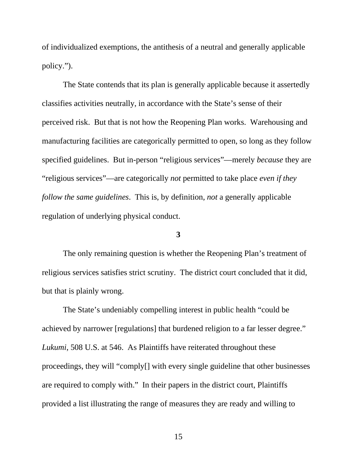of individualized exemptions, the antithesis of a neutral and generally applicable policy.").

The State contends that its plan is generally applicable because it assertedly classifies activities neutrally, in accordance with the State's sense of their perceived risk. But that is not how the Reopening Plan works. Warehousing and manufacturing facilities are categorically permitted to open, so long as they follow specified guidelines. But in-person "religious services"—merely *because* they are "religious services"—are categorically *not* permitted to take place *even if they follow the same guidelines*. This is, by definition, *not* a generally applicable regulation of underlying physical conduct.

#### **3**

The only remaining question is whether the Reopening Plan's treatment of religious services satisfies strict scrutiny. The district court concluded that it did, but that is plainly wrong.

The State's undeniably compelling interest in public health "could be achieved by narrower [regulations] that burdened religion to a far lesser degree." *Lukumi*, 508 U.S. at 546. As Plaintiffs have reiterated throughout these proceedings, they will "comply[] with every single guideline that other businesses are required to comply with." In their papers in the district court, Plaintiffs provided a list illustrating the range of measures they are ready and willing to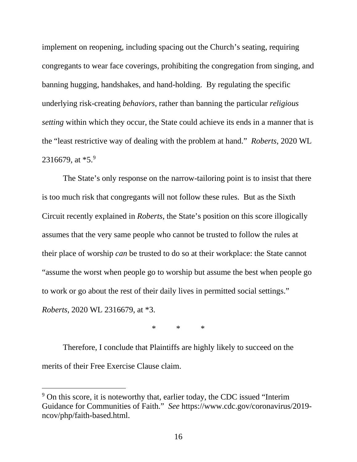implement on reopening, including spacing out the Church's seating, requiring congregants to wear face coverings, prohibiting the congregation from singing, and banning hugging, handshakes, and hand-holding. By regulating the specific underlying risk-creating *behaviors*, rather than banning the particular *religious setting* within which they occur, the State could achieve its ends in a manner that is the "least restrictive way of dealing with the problem at hand." *Roberts*, 2020 WL 231667[9](#page-18-0), at  $*5.9$ 

The State's only response on the narrow-tailoring point is to insist that there is too much risk that congregants will not follow these rules. But as the Sixth Circuit recently explained in *Roberts*, the State's position on this score illogically assumes that the very same people who cannot be trusted to follow the rules at their place of worship *can* be trusted to do so at their workplace: the State cannot "assume the worst when people go to worship but assume the best when people go to work or go about the rest of their daily lives in permitted social settings." *Roberts*, 2020 WL 2316679, at \*3.

 $*$  \* \*

Therefore, I conclude that Plaintiffs are highly likely to succeed on the merits of their Free Exercise Clause claim.

<span id="page-18-0"></span><sup>9</sup> On this score, it is noteworthy that, earlier today, the CDC issued "Interim Guidance for Communities of Faith." *See* https://www.cdc.gov/coronavirus/2019 ncov/php/faith-based.html.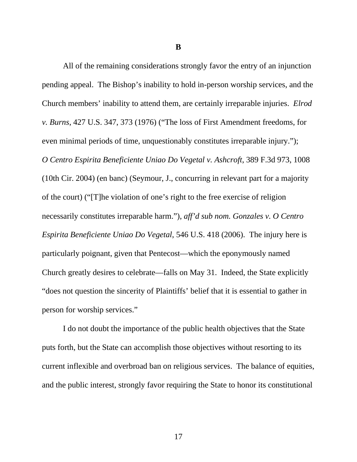**B**

All of the remaining considerations strongly favor the entry of an injunction pending appeal. The Bishop's inability to hold in-person worship services, and the Church members' inability to attend them, are certainly irreparable injuries. *Elrod v. Burns*, 427 U.S. 347, 373 (1976) ("The loss of First Amendment freedoms, for even minimal periods of time, unquestionably constitutes irreparable injury."); *O Centro Espirita Beneficiente Uniao Do Vegetal v. Ashcroft*, 389 F.3d 973, 1008 (10th Cir. 2004) (en banc) (Seymour, J., concurring in relevant part for a majority of the court) ("[T]he violation of one's right to the free exercise of religion necessarily constitutes irreparable harm."), *aff'd sub nom. Gonzales v. O Centro Espirita Beneficiente Uniao Do Vegetal*, 546 U.S. 418 (2006). The injury here is particularly poignant, given that Pentecost—which the eponymously named Church greatly desires to celebrate—falls on May 31. Indeed, the State explicitly "does not question the sincerity of Plaintiffs' belief that it is essential to gather in person for worship services."

I do not doubt the importance of the public health objectives that the State puts forth, but the State can accomplish those objectives without resorting to its current inflexible and overbroad ban on religious services. The balance of equities, and the public interest, strongly favor requiring the State to honor its constitutional